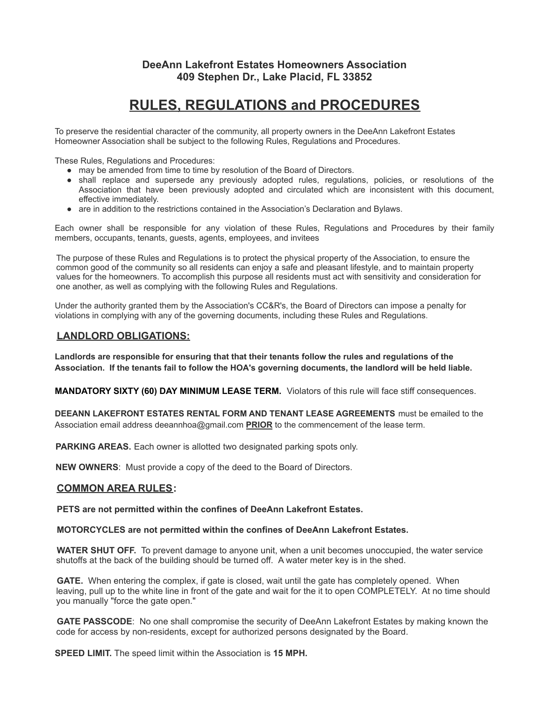# **DeeAnn Lakefront Estates Homeowners Association 409 Stephen Dr., Lake Placid, FL 33852**

# **RULES, REGULATIONS and PROCEDURES**

To preserve the residential character of the community, all property owners in the DeeAnn Lakefront Estates Homeowner Association shall be subject to the following Rules, Regulations and Procedures.

These Rules, Regulations and Procedures:

- may be amended from time to time by resolution of the Board of Directors.
- shall replace and supersede any previously adopted rules, regulations, policies, or resolutions of the Association that have been previously adopted and circulated which are inconsistent with this document, effective immediately.
- are in addition to the restrictions contained in the Association's Declaration and Bylaws.

Each owner shall be responsible for any violation of these Rules, Regulations and Procedures by their family members, occupants, tenants, guests, agents, employees, and invitees

The purpose of these Rules and Regulations is to protect the physical property of the Association, to ensure the common good of the community so all residents can enjoy a safe and pleasant lifestyle, and to maintain property values for the homeowners. To accomplish this purpose all residents must act with sensitivity and consideration for one another, as well as complying with the following Rules and Regulations.

Under the authority granted them by the Association's CC&R's, the Board of Directors can impose a penalty for violations in complying with any of the governing documents, including these Rules and Regulations.

## **LANDLORD OBLIGATIONS:**

**Landlords are responsible for ensuring that that their tenants follow the rules and regulations of the** Association. If the tenants fail to follow the HOA's governing documents, the landlord will be held liable.

**MANDATORY SIXTY (60) DAY MINIMUM LEASE TERM.** Violators of this rule will face stiff consequences.

**DEEANN LAKEFRONT ESTATES RENTAL FORM AND TENANT LEASE AGREEMENTS** must be emailed to the Association email address deeannhoa@gmail.com **PRIOR** to the commencement of the lease term.

**PARKING AREAS.** Each owner is allotted two designated parking spots only.

**NEW OWNERS**: Must provide a copy of the deed to the Board of Directors.

### **COMMON AREA RULES:**

**PETS are not permitted within the confines of DeeAnn Lakefront Estates.**

#### **MOTORCYCLES are not permitted within the confines of DeeAnn Lakefront Estates.**

**WATER SHUT OFF.** To prevent damage to anyone unit, when a unit becomes unoccupied, the water service shutoffs at the back of the building should be turned off. A water meter key is in the shed.

**GATE.** When entering the complex, if gate is closed, wait until the gate has completely opened. When leaving, pull up to the white line in front of the gate and wait for the it to open COMPLETELY. At no time should you manually "force the gate open."

**GATE PASSCODE**: No one shall compromise the security of DeeAnn Lakefront Estates by making known the code for access by non-residents, except for authorized persons designated by the Board.

**SPEED LIMIT.** The speed limit within the Association is **15 MPH.**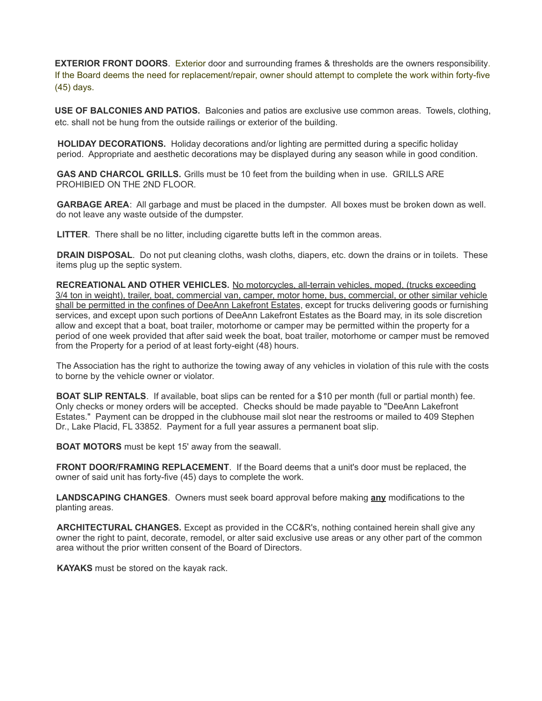**EXTERIOR FRONT DOORS**. Exterior door and surrounding frames & thresholds are the owners responsibility. If the Board deems the need for replacement/repair, owner should attempt to complete the work within forty-five (45) days.

**USE OF BALCONIES AND PATIOS.** Balconies and patios are exclusive use common areas. Towels, clothing, etc. shall not be hung from the outside railings or exterior of the building.

**HOLIDAY DECORATIONS.** Holiday decorations and/or lighting are permitted during a specific holiday period. Appropriate and aesthetic decorations may be displayed during any season while in good condition.

**GAS AND CHARCOL GRILLS.** Grills must be 10 feet from the building when in use. GRILLS ARE PROHIBIED ON THE 2ND FLOOR.

**GARBAGE AREA**: All garbage and must be placed in the dumpster. All boxes must be broken down as well. do not leave any waste outside of the dumpster.

**LITTER**. There shall be no litter, including cigarette butts left in the common areas.

**DRAIN DISPOSAL**. Do not put cleaning cloths, wash cloths, diapers, etc. down the drains or in toilets. These items plug up the septic system.

**RECREATIONAL AND OTHER VEHICLES.** No motorcycles, all-terrain vehicles, moped, (trucks exceeding 3/4 ton in weight), trailer, boat, commercial van, camper, motor home, bus, commercial, or other similar vehicle shall be permitted in the confines of DeeAnn Lakefront Estates, except for trucks delivering goods or furnishing services, and except upon such portions of DeeAnn Lakefront Estates as the Board may, in its sole discretion allow and except that a boat, boat trailer, motorhome or camper may be permitted within the property for a period of one week provided that after said week the boat, boat trailer, motorhome or camper must be removed from the Property for a period of at least forty-eight (48) hours.

The Association has the right to authorize the towing away of any vehicles in violation of this rule with the costs to borne by the vehicle owner or violator.

**BOAT SLIP RENTALS**. If available, boat slips can be rented for a \$10 per month (full or partial month) fee. Only checks or money orders will be accepted. Checks should be made payable to "DeeAnn Lakefront Estates." Payment can be dropped in the clubhouse mail slot near the restrooms or mailed to 409 Stephen Dr., Lake Placid, FL 33852. Payment for a full year assures a permanent boat slip.

**BOAT MOTORS** must be kept 15' away from the seawall.

**FRONT DOOR/FRAMING REPLACEMENT**. If the Board deems that a unit's door must be replaced, the owner of said unit has forty-five (45) days to complete the work.

**LANDSCAPING CHANGES**. Owners must seek board approval before making **any** modifications to the planting areas.

**ARCHITECTURAL CHANGES.** Except as provided in the CC&R's, nothing contained herein shall give any owner the right to paint, decorate, remodel, or alter said exclusive use areas or any other part of the common area without the prior written consent of the Board of Directors.

**KAYAKS** must be stored on the kayak rack.